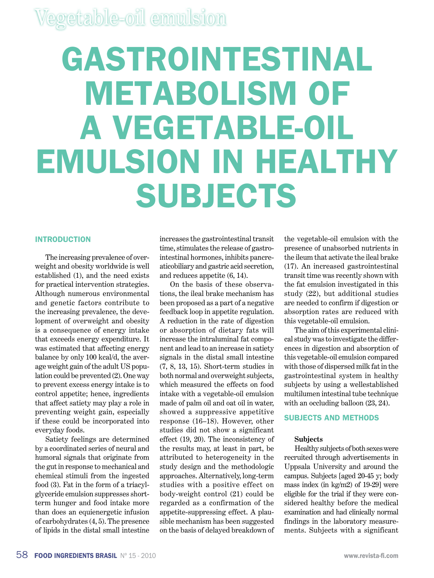# **GASTROINTESTINAL METABOLISM OF A VEGETABLE-OIL EMULSION IN HEALTHY SUBJECTS**

#### **Introduction**

The increasing prevalence of overweight and obesity worldwide is well established (1), and the need exists for practical intervention strategies. Although numerous environmental and genetic factors contribute to the increasing prevalence, the development of overweight and obesity is a consequence of energy intake that exceeds energy expenditure. It was estimated that affecting energy balance by only 100 kcal/d, the average weight gain of the adult US population could be prevented (2). One way to prevent excess energy intake is to control appetite; hence, ingredients that affect satiety may play a role in preventing weight gain, especially if these could be incorporated into everyday foods.

Satiety feelings are determined by a coordinated series of neural and humoral signals that originate from the gut in response to mechanical and chemical stimuli from the ingested food (3). Fat in the form of a triacylglyceride emulsion suppresses shortterm hunger and food intake more than does an equienergetic infusion of carbohydrates (4, 5). The presence of lipids in the distal small intestine increases the gastrointestinal transit time, stimulates the release of gastrointestinal hormones, inhibits pancreaticobiliary and gastric acid secretion, and reduces appetite (6, 14).

On the basis of these observations, the ileal brake mechanism has been proposed as a part of a negative feedback loop in appetite regulation. A reduction in the rate of digestion or absorption of dietary fats will increase the intraluminal fat component and lead to an increase in satiety signals in the distal small intestine (7, 8, 13, 15). Short-term studies in both normal and overweight subjects, which measured the effects on food intake with a vegetable-oil emulsion made of palm oil and oat oil in water, showed a suppressive appetitive response (16–18). However, other studies did not show a significant effect (19, 20). The inconsistency of the results may, at least in part, be attributed to heterogeneity in the study design and the methodologic approaches. Alternatively, long-term studies with a positive effect on body-weight control (21) could be regarded as a confirmation of the appetite-suppressing effect. A plausible mechanism has been suggested on the basis of delayed breakdown of

the vegetable-oil emulsion with the presence of unabsorbed nutrients in the ileum that activate the ileal brake (17). An increased gastrointestinal transit time was recently shown with the fat emulsion investigated in this study (22), but additional studies are needed to confirm if digestion or absorption rates are reduced with this vegetable-oil emulsion.

The aim of this experimental clinical study was to investigate the differences in digestion and absorption of this vegetable-oil emulsion compared with those of dispersed milk fat in the gastrointestinal system in healthy subjects by using a wellestablished multilumen intestinal tube technique with an occluding balloon  $(23, 24)$ .

#### **Subjects and methods**

#### **Subjects**

Healthy subjects of both sexes were recruited through advertisements in Uppsala University and around the campus. Subjects [aged 20-45 y; body mass index (in kg/m2) of 19-29] were eligible for the trial if they were considered healthy before the medical examination and had clinically normal findings in the laboratory measurements. Subjects with a significant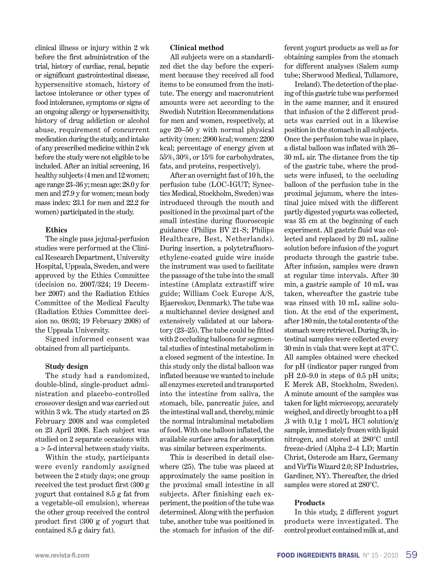clinical illness or injury within 2 wk before the first administration of the trial, history of cardiac, renal, hepatic or significant gastrointestinal disease, hypersensitive stomach, history of lactose intolerance or other types of food intolerance, symptoms or signs of an ongoing allergy or hypersensitivity, history of drug addiction or alcohol abuse, requirement of concurrent medication during the study, and intake of any prescribed medicine within 2 wk before the study were not eligible to be included. After an initial screening, 16 healthy subjects (4 men and 12 women; age range 23–36 y; mean age: 28.0 y for men and 27.9 y for women; mean body mass index: 23.1 for men and 22.2 for women) participated in the study.

#### **Ethics**

The single pass jejunal-perfusion studies were performed at the Clinical Research Department, University Hospital, Uppsala, Sweden, and were approved by the Ethics Committee (decision no. 2007/324; 19 December 2007) and the Radiation Ethics Committee of the Medical Faculty (Radiation Ethics Committee decision no. 08:03; 19 February 2008) of the Uppsala University.

Signed informed consent was obtained from all participants.

#### **Study design**

The study had a randomized, double-blind, single-product administration and placebo-controlled crossover design and was carried out within 3 wk. The study started on 25 February 2008 and was completed on 23 April 2008. Each subject was studied on 2 separate occasions with a > 5-d interval between study visits.

Within the study, participants were evenly randomly assigned between the 2 study days; one group received the test product first (300 g yogurt that contained 8.5 g fat from a vegetable-oil emulsion), whereas the other group received the control product first (300 g of yogurt that contained 8.5 g dairy fat).

#### **Clinical method**

All subjects were on a standardized diet the day before the experiment because they received all food items to be consumed from the institute. The energy and macronutrient amounts were set according to the Swedish Nutrition Recommendations for men and women, respectively, at age 20–50 y with normal physical activity (men: 2900 kcal; women: 2200 kcal; percentage of energy given at 55%, 30%, or 15% for carbohydrates, fats, and proteins, respectively).

After an overnight fast of 10 h, the perfusion tube (LOC-IGUT; Synectics Medical, Stockholm, Sweden) was introduced through the mouth and positioned in the proximal part of the small intestine during fluoroscopic guidance (Philips BV 21-S; Philips Healthcare, Best, Netherlands). During insertion, a polytetrafluoroethylene-coated guide wire inside the instrument was used to facilitate the passage of the tube into the small intestine (Amplatz extrastiff wire guide; William Cock Europe A/S, Bjaereskov, Denmark). The tube was a multichannel device designed and extensively validated at our laboratory (23–25). The tube could be fitted with 2 occluding balloons for segmental studies of intestinal metabolism in a closed segment of the intestine. In this study only the distal balloon was inflated because we wanted to include all enzymes excreted and transported into the intestine from saliva, the stomach, bile, pancreatic juice, and the intestinal wall and, thereby, mimic the normal intraluminal metabolism of food. With one balloon inflated, the available surface area for absorption was similar between experiments.

This is described in detail elsewhere (25). The tube was placed at approximately the same position in the proximal small intestine in all subjects. After finishing each experiment, the position of the tube was determined. Along with the perfusion tube, another tube was positioned in the stomach for infusion of the different yogurt products as well as for obtaining samples from the stomach for different analyses (Salem sump tube; Sherwood Medical, Tullamore,

Ireland). The detection of the placing of this gastric tube was performed in the same manner, and it ensured that infusion of the 2 different products was carried out in a likewise position in the stomach in all subjects. Once the perfusion tube was in place, a distal balloon was inflated with 26– 30 mL air. The distance from the tip of the gastric tube, where the products were infused, to the occluding balloon of the perfusion tube in the proximal jejunum, where the intestinal juice mixed with the different partly digested yogurts was collected, was 35 cm at the beginning of each experiment. All gastric fluid was collected and replaced by 20 mL saline solution before infusion of the yogurt products through the gastric tube. After infusion, samples were drawn at regular time intervals. After 30 min, a gastric sample of 10 mL was taken, whereafter the gastric tube was rinsed with 10 mL saline solution. At the end of the experiment, after 180 min, the total contents of the stomach were retrieved. During 3h, intestinal samples were collected every 30 min in vials that were kept at 37°C. All samples obtained were checked for pH (indicator paper ranged from pH 2.0–9.0 in steps of 0.5 pH units; E Merck AB, Stockholm, Sweden). A minute amount of the samples was taken for light microscopy, accurately weighed, and directly brought to a pH ,3 with  $0.1g 1$  mol/L HCl solution/g sample, immediately frozen with liquid nitrogen, and stored at 280°C until freeze-dried (Alpha 2–4 LD; Martin Christ, Osterode am Harz, Germany and VirTis Wizard 2.0; SP Industries, Gardiner, NY). Thereafter, the dried samples were stored at 280°C.

#### **Products**

In this study, 2 different yogurt products were investigated. The control product contained milk at, and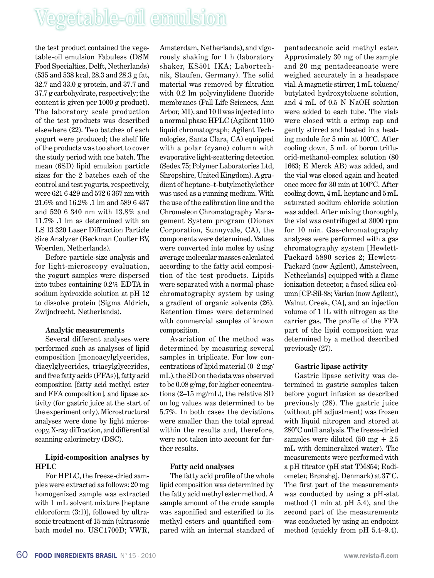the test product contained the vegetable-oil emulsion Fabuless (DSM Food Specialties, Delft, Netherlands) (535 and 538 kcal, 28.3 and 28.3 g fat, 32.7 and 33.0 g protein, and 37.7 and 37.7 g carbohydrate, respectively; the content is given per 1000 g product). The laboratory scale production of the test products was described elsewhere (22). Two batches of each yogurt were produced; the shelf life of the products was too short to cover the study period with one batch. The mean (6SD) lipid emulsion particle sizes for the 2 batches each of the control and test yogurts, respectively, were 621 6 429 and 572 6 367 nm with 21.6% and 16.2% .1 lm and 589 6 437 and 520 6 340 nm with 13.8% and 11.7% .1 lm as determined with an LS 13 320 Laser Diffraction Particle Size Analyzer (Beckman Coulter BV, Woerden, Netherlands).

Before particle-size analysis and for light-microscopy evaluation, the yogurt samples were dispersed into tubes containing 0.2% EDTA in sodium hydroxide solution at pH 12 to dissolve protein (Sigma Aldrich, Zwijndrecht, Netherlands).

#### **Analytic measurements**

Several different analyses were performed such as analyses of lipid composition [monoacylglycerides, diacylglycerides, triacylglycerides, and free fatty acids (FFAs)], fatty acid composition [fatty acid methyl ester and FFA composition], and lipase activity (for gastric juice at the start of the experiment only). Microstructural analyses were done by light microscopy, X-ray diffraction, and differential scanning calorimetry (DSC).

#### **Lipid-composition analyses by HPLC**

For HPLC, the freeze-dried samples were extracted as follows: 20 mg homogenized sample was extracted with 1 mL solvent mixture [heptane chloroform (3:1)], followed by ultrasonic treatment of 15 min (ultrasonic bath model no. USC1700D; VWR,

Amsterdam, Netherlands), and vigorously shaking for 1 h (laboratory shaker, KS501 IKA; Labortechnik, Staufen, Germany). The solid material was removed by filtration with 0.2 lm polyvinylidene fluoride membranes (Pall Life Sciences, Ann Arbor, MI), and 10 ll was injected into a normal phase HPLC (Agilient 1100 liquid chromatograph; Agilent Technologies, Santa Clara, CA) equipped with a polar (cyano) column with evaporative light-scattering detection (Sedex 75; Polymer Laboratories Ltd, Shropshire, United Kingdom). A gradient of heptane–t-butylmethylether was used as a running medium. With the use of the calibration line and the Chromeleon Chromatography Management System program (Dionex Corporation, Sunnyvale, CA), the components were determined. Values were converted into moles by using average molecular masses calculated according to the fatty acid composition of the test products. Lipids were separated with a normal-phase chromatography system by using a gradient of organic solvents (26). Retention times were determined with commercial samples of known composition.

Avariation of the method was determined by measuring several samples in triplicate. For low concentrations of lipid material (0–2 mg/ mL), the SD on the data was observed to be 0.08 g/mg, for higher concentrations (2–15 mg/mL), the relative SD on log values was determined to be 5.7%. In both cases the deviations were smaller than the total spread within the results and, therefore, were not taken into account for further results.

#### **Fatty acid analyses**

The fatty acid profile of the whole lipid composition was determined by the fatty acid methyl ester method. A sample amount of the crude sample was saponified and esterified to its methyl esters and quantified compared with an internal standard of pentadecanoic acid methyl ester. Approximately 30 mg of the sample and 20 mg pentadecanoate were weighed accurately in a headspace vial. A magnetic stirrer, 1 mL toluene/ butylated hydroxytoluene solution, and 4 mL of 0.5 N NaOH solution were added to each tube. The vials were closed with a crimp cap and gently stirred and heated in a heating module for 5 min at 100°C. After cooling down, 5 mL of boron trifluorid-methanol-complex solution (80 1663; E Merck AB) was added, and the vial was closed again and heated once more for 30 min at 100°C. After cooling down, 4 mL heptane and 5 mL saturated sodium chloride solution was added. After mixing thoroughly, the vial was centrifuged at 3000 rpm for 10 min. Gas-chromatography analyses were performed with a gas chromatography system [Hewlett-Packard 5890 series 2; Hewlett-Packard (now Agilent), Amstelveen, Netherlands] equipped with a flame ionization detector, a fused silica column [CP-Sil-88; Varian (now Agilent), Walnut Creek, CA], and an injection volume of 1 lL with nitrogen as the carrier gas. The profile of the FFA part of the lipid composition was determined by a method described previously (27).

#### **Gastric lipase activity**

Gastric lipase activity was determined in gastric samples taken before yogurt infusion as described previously (28). The gastric juice (without pH adjustment) was frozen with liquid nitrogen and stored at 280°C until analysis. The freeze-dried samples were diluted  $(50 \text{ mg} + 2.5)$ mL with demineralized water). The measurements were performed with a pH titrator (pH stat TM854; Radiometer, Brønshøj, Denmark) at 37°C. The first part of the measurements was conducted by using a pH-stat method (1 min at pH 5.4), and the second part of the measurements was conducted by using an endpoint method (quickly from pH 5.4–9.4).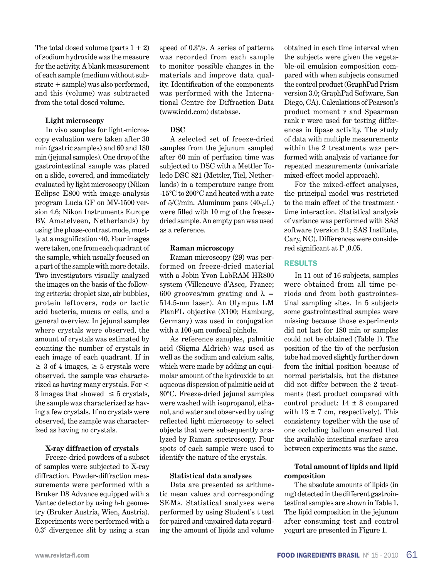The total dosed volume (parts  $1 + 2$ ) of sodium hydroxide was the measure for the activity. A blank measurement of each sample (medium without substrate + sample) was also performed, and this (volume) was subtracted from the total dosed volume.

#### **Light microscopy**

In vivo samples for light-microscopy evaluation were taken after 30 min (gastric samples) and 60 and 180 min (jejunal samples). One drop of the gastrointestinal sample was placed on a slide, covered, and immediately evaluated by light microscopy (Nikon Eclipse E800 with image-analysis program Lucia GF on MV-1500 version 4.6; Nikon Instruments Europe BV, Amstelveen, Netherlands) by using the phase-contrast mode, mostly at a magnification ·40. Four images were taken, one from each quadrant of the sample, which usually focused on a part of the sample with more details. Two investigators visually analyzed the images on the basis of the following criteria: droplet size, air bubbles, protein leftovers, rods or lactic acid bacteria, mucus or cells, and a general overview. In jejunal samples where crystals were observed, the amount of crystals was estimated by counting the number of crystals in each image of each quadrant. If in  $\geq$  3 of 4 images,  $\geq$  5 crystals were observed, the sample was characterized as having many crystals. For < 3 images that showed  $\leq$  5 crystals, the sample was characterized as having a few crystals. If no crystals were observed, the sample was characterized as having no crystals.

#### **X-ray diffraction of crystals**

Freeze-dried powders of a subset of samples were subjected to X-ray diffraction. Powder-diffraction measurements were performed with a Bruker D8 Advance equipped with a Vantec detector by using h-h geometry (Bruker Austria, Wien, Austria). Experiments were performed with a 0.3° divergence slit by using a scan

speed of 0.3°/s. A series of patterns was recorded from each sample to monitor possible changes in the materials and improve data quality. Identification of the components was performed with the International Centre for Diffraction Data (www.icdd.com) database.

#### **DSC**

A selected set of freeze-dried samples from the jejunum sampled after 60 min of perfusion time was subjected to DSC with a Mettler Toledo DSC 821 (Mettler, Tiel, Netherlands) in a temperature range from -15°C to 200°C and heated with a rate of  $5/C/min$ . Aluminum pans  $(40-\mu L)$ were filled with 10 mg of the freezedried sample. An empty pan was used as a reference.

#### **Raman microscopy**

Raman microscopy (29) was performed on freeze-dried material with a Jobin Yvon LabRAM HR800 system (Villeneuve d'Ascq, France; 600 grooves/mm grating and  $\lambda =$ 514.5-nm laser). An Olympus LM PlanFL objective (X100; Hamburg, Germany) was used in conjugation with a 100- $\mu$ m confocal pinhole.

As reference samples, palmitic acid (Sigma Aldrich) was used as well as the sodium and calcium salts, which were made by adding an equimolar amount of the hydroxide to an aqueous dispersion of palmitic acid at 80°C. Freeze-dried jejunal samples were washed with isopropanol, ethanol, and water and observed by using reflected light microscopy to select objects that were subsequently analyzed by Raman spectroscopy. Four spots of each sample were used to identify the nature of the crystals.

#### **Statistical data analyses**

Data are presented as arithmetic mean values and corresponding SEMs. Statistical analyses were performed by using Student's t test for paired and unpaired data regarding the amount of lipids and volume

obtained in each time interval when the subjects were given the vegetable-oil emulsion composition compared with when subjects consumed the control product (GraphPad Prism version 3.0; GraphPad Software, San Diego, CA). Calculations of Pearson's product moment r and Spearman rank r were used for testing differences in lipase activity. The study of data with multiple measurements within the 2 treatments was performed with analysis of variance for repeated measurements (univariate mixed-effect model approach).

For the mixed-effect analyses, the principal model was restricted to the main effect of the treatment · time interaction. Statistical analysis of variance was performed with SAS software (version 9.1; SAS Institute, Cary, NC). Differences were considered significant at P ,0.05.

#### **Results**

In 11 out of 16 subjects, samples were obtained from all time periods and from both gastrointestinal sampling sites. In 5 subjects some gastrointestinal samples were missing because those experiments did not last for 180 min or samples could not be obtained (Table 1). The position of the tip of the perfusion tube had moved slightly further down from the initial position because of normal peristalsis, but the distance did not differ between the 2 treatments (test product compared with control product: 14 ± 8 compared with  $13 \pm 7$  cm, respectively). This consistency together with the use of one occluding balloon ensured that the available intestinal surface area between experiments was the same.

#### **Total amount of lipids and lipid composition**

The absolute amounts of lipids (in mg) detected in the different gastrointestinal samples are shown in Table 1. The lipid composition in the jejunum after consuming test and control yogurt are presented in Figure 1.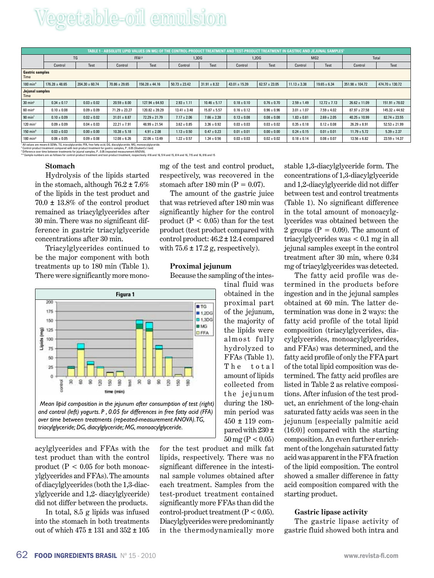| TABLE 1 - ABSOLUTE LIPID VALUES (IN MG) OF THE CONTROL-PRODUCT TREATMENT AND TEST-PRODUCT TREATMENT IN GASTRIC AND JEJUNAL SAMPLES' |                    |                    |                    |                    |                    |                  |                   |                   |                  |                  |                     |                     |  |
|-------------------------------------------------------------------------------------------------------------------------------------|--------------------|--------------------|--------------------|--------------------|--------------------|------------------|-------------------|-------------------|------------------|------------------|---------------------|---------------------|--|
|                                                                                                                                     | TG                 |                    | FFA <sup>2,3</sup> |                    | 1.3 <sub>D</sub> G |                  | 1,2DG             |                   | MG <sub>2</sub>  |                  | Total               |                     |  |
|                                                                                                                                     | Control            | Test               | Control            | Test               | Control            | Test             | Control           | Test              | Control          | <b>Test</b>      | Control             | Test                |  |
| <b>Gastric samples</b><br><b>Time</b>                                                                                               |                    |                    |                    |                    |                    |                  |                   |                   |                  |                  |                     |                     |  |
| $180$ min <sup>4</sup>                                                                                                              | $176.28 \pm 48.65$ | $204.30 \pm 60.74$ | $70.86 \pm 29.65$  | $156.28 \pm 44.16$ | $50.73 \pm 23.42$  | $31.91 \pm 8.32$ | $43.01 \pm 15.39$ | $62.57 \pm 23.05$ | $11.13 \pm 3.38$ | $19.65 \pm 6.34$ | $351.98 \pm 104.72$ | $474.70 \pm 130.72$ |  |
| <b>Jejunal samples</b><br><b>Time</b>                                                                                               |                    |                    |                    |                    |                    |                  |                   |                   |                  |                  |                     |                     |  |
| $30 \text{ min}^5$                                                                                                                  | $0.34 \pm 0.17$    | $0.03 \pm 0.02$    | $20.59 \pm 8.00$   | $127.94 \pm 64.93$ | $2.93 \pm 1.11$    | $10.46 \pm 5.17$ | $0.18 \pm 0.10$   | $0.76 \pm 0.70$   | $2.59 \pm 1.49$  | $12.72 \pm 7.13$ | $26.62 \pm 11.09$   | $151.91 \pm 78.02$  |  |
| $60 \text{ min}^6$                                                                                                                  | $0.10 \pm 0.08$    | $0.09 \pm 0.09$    | $71.29 \pm 23.27$  | $120.82 \pm 39.29$ | $13.41 \pm 3.48$   | $15.87 \pm 5.57$ | $0.16 \pm 0.12$   | $0.96 \pm 0.96$   | $3.01 \pm 1.07$  | $7.59 \pm 4.02$  | $87.97 \pm 27.58$   | $145.32 \pm 44.92$  |  |
| $90$ min <sup>7</sup>                                                                                                               | $0.10 \pm 0.09$    | $0.02 \pm 0.02$    | $31.01 \pm 8.87$   | $72.29 \pm 21.79$  | $7.17 \pm 2.06$    | $7.66 \pm 2.38$  | $0.13 \pm 0.08$   | $0.08 \pm 0.08$   | $1.83 \pm 0.81$  | $2.69 \pm 2.05$  | $40.25 \pm 10.99$   | $82.74 \pm 23.55$   |  |
| $120 \text{ min}^7$                                                                                                                 | $0.09 \pm 0.09$    | $0.04 \pm 0.03$    | $22.21 \pm 7.91$   | $48.99 \pm 21.54$  | $3.62 \pm 0.85$    | $3.36 \pm 0.92$  | $0.03 \pm 0.03$   | $0.03 \pm 0.02$   | $0.35 \pm 0.18$  | $0.12 \pm 0.08$  | $26.29 \pm 8.91$    | $52.53 \pm 21.99$   |  |
| $150$ min $8$                                                                                                                       | $0.03 \pm 0.03$    | $0.00 \pm 0.00$    | $10.38 \pm 5.18$   | $4.91 \pm 2.08$    | $1.13 \pm 0.50$    | $0.47 \pm 0.23$  | $0.01 \pm 0.01$   | $0.00 \pm 0.00$   | $0.24 \pm 0.15$  | $0.01 \pm 0.01$  | $11.79 \pm 5.72$    | $5.39 \pm 2.37$     |  |
| $180 \text{ min}^8$                                                                                                                 | $0.06 \pm 0.05$    | $0.09 \pm 0.08$    | $12.08 \pm 6.26$   | $22.06 \pm 13.49$  | $1.22 \pm 0.57$    | $1.34 \pm 0.56$  | $0.03 \pm 0.03$   | $0.02 \pm 0.02$   | $0.18 \pm 0.14$  | $0.08 \pm 0.07$  | $13.56 \pm 6.82$    | $23.59 \pm 14.37$   |  |
| All values are means 6 SEMs. TG, triacylglyceride; FFA, free fatty acid; DG, diacylglyceride; MG, monoacylglyceride.                |                    |                    |                    |                    |                    |                  |                   |                   |                  |                  |                     |                     |  |

' All values are means 6 SEMs. TG, iras-ylgyceride; FFA, free fatty actic DG, diacylgyceride, MG, monoacylgyceride.<br>' Dontrol-product treatment compared with test-product treatment for gastric samples, P, 0.05 (Student's t

#### **Stomach**

2 3

> Hydrolysis of the lipids started in the stomach, although  $76.2 \pm 7.6\%$ of the lipids in the test product and 70.0 ± 13.8% of the control product remained as triacylglycerides after 30 min. There was no significant difference in gastric triacylglyceride concentrations after 30 min.

> Triacylglycerides continued to be the major component with both treatments up to 180 min (Table 1). There were significantly more mono-



acylglycerides and FFAs with the test product than with the control product ( $P < 0.05$  for both monoacylglycerides and FFAs). The amounts of diacylglycerides (both the 1,3-diacylglyceride and 1,2- diacylglyceride) did not differ between the products.

In total, 8.5 g lipids was infused into the stomach in both treatments out of which 475 ± 131 and 352 ± 105

for the test product and milk fat lipids, respectively. There was no significant difference in the intestinal sample volumes obtained after each treatment. Samples from the test-product treatment contained significantly more FFAs than did the control-product treatment  $(P < 0.05)$ . Diacylglycerides were predominantly in the thermodynamically more

mg of the test and control product, respectively, was recovered in the stomach after 180 min ( $P = 0.07$ ).

The amount of the gastric juice that was retrieved after 180 min was significantly higher for the control product ( $P < 0.05$ ) than for the test product (test product compared with control product: 46.2 ± 12.4 compared with  $75.6 \pm 17.2$  g, respectively).

#### **Proximal jejunum**

Because the sampling of the intes-

stable 1,3-diacylglyceride form. The concentrations of 1,3-diacylglyceride and 1,2-diacylglyceride did not differ between test and control treatments (Table 1). No significant difference in the total amount of monoacylglycerides was obtained between the 2 groups ( $P = 0.09$ ). The amount of triacylglycerides was < 0.1 mg in all jejunal samples except in the control treatment after 30 min, where 0.34 mg of triacylglycerides was detected.

The fatty acid profile was determined in the products before ingestion and in the jejunal samples obtained at 60 min. The latter determination was done in 2 ways: the fatty acid profile of the total lipid composition (triacylglycerides, diacylglycerides, monoacylglycerides, and FFAs) was determined, and the fatty acid profile of only the FFA part of the total lipid composition was determined. The fatty acid profiles are listed in Table 2 as relative compositions. After infusion of the test product, an enrichment of the long-chain saturated fatty acids was seen in the jejunum [especially palmitic acid (16:0)] compared with the starting composition. An even further enrichment of the longchain saturated fatty acid was apparent in the FFA fraction of the lipid composition. The control showed a smaller difference in fatty acid composition compared with the starting product.

#### **Gastric lipase activity**

The gastric lipase activity of gastric fluid showed both intra and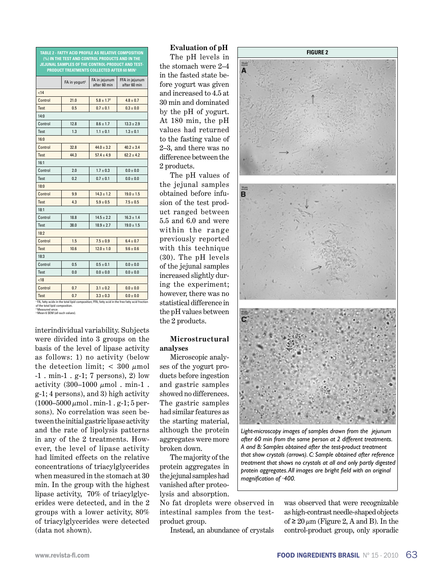**TABLE 2 - Fatty acid profile as relative composition (%) in the test and control products and in the jejunal samples of the control-product and testproduct treatments collected after 60 min1** FA in yogurt $^{2}$   $\begin{array}{|c|}$  FA in jejunum<br>after 60 min FFA in jejunum after 60 min  $<sub>14</sub>$ </sub> Control 21.0  $5.8 \pm 1.7^3$  4.8  $\pm$  0.7 Test  $0.5$   $0.7 + 0.1$   $0.3 + 0.0$  $14:0$ Control 12.8  $8.6 \pm 1.7$  13.3  $\pm 2.9$ Test 1.3  $1.1 \pm 0.1$   $1.3 \pm 0.1$  $16:0$ Control 32.8  $44.0 + 3.2$   $40.2 + 3.4$ Test 44.3  $57.4 \pm 4.9$   $62.2 \pm 4.2$ 16:1 Control 2.0  $1.7 \pm 0.3$  0.0  $\pm$  0.0 Test  $0.2$   $0.7 \pm 0.1$   $0.0 \pm 0.0$  $18:0$ Control 9.9  $14.3 \pm 1.2$  19.0  $\pm 1.5$ Test | 4.3 |  $5.9 \pm 0.5$  |  $7.5 \pm 0.5$ 18:1 Control 18.8  $14.5 + 22$  16.3 + 1.4 Test 38.0  $18.9 \pm 2.7$   $19.0 \pm 1.5$ 18:2 Control 1.5  $7.5 \pm 0.9$  6.4  $\pm 0.7$ Test |  $10.6$  |  $12.0 \pm 1.0$  |  $9.6 \pm 0.6$ 18:3 Control  $\begin{array}{|c|c|c|c|c|c|c|c|} \hline \end{array}$  0.5  $\begin{array}{|c|c|c|c|c|c|c|c|} \hline \end{array}$  0.0 + 0.0 Test  $0.0 \t 0.0 \pm 0.0 \t 0.0 \pm 0.0$  $\overline{<}18$ Control 0.7  $3.1 \pm 0.2$  0.0  $\pm$  0.0 Test  $0.7$   $3.3 \pm 0.3$   $0.0 \pm 0.0$ 

FFA, fatty acid in the free fatty acid fraction;

**FA, fatty acids in the total lipid composition.**<br>of the total lipid composition.<br><sup>2</sup> Measured once. 2 Measured once. 3 Mean 6 SEM (all such values).

interindividual variability. Subjects were divided into 3 groups on the basis of the level of lipase activity as follows: 1) no activity (below the detection limit;  $<$  300  $\mu$ mol -1 . min-1 . g-1; 7 persons), 2) low activity  $(300-1000 \mu \text{mol}$ . min-1. g-1; 4 persons), and 3) high activity  $(1000-5000 \,\mu\text{mol} \cdot \text{min-1} \cdot \text{g-1}; 5 \,\text{per-1})$ sons). No correlation was seen between the initial gastric lipase activity and the rate of lipolysis patterns in any of the 2 treatments. However, the level of lipase activity had limited effects on the relative concentrations of triacylglycerides when measured in the stomach at 30 min. In the group with the highest lipase activity, 70% of triacylglycerides were detected, and in the 2 groups with a lower activity, 80% of triacylglycerides were detected (data not shown).

The pH levels in the stomach were 2–4 in the fasted state before yogurt was given and increased to 4.5 at 30 min and dominated by the pH of yogurt. At 180 min, the pH values had returned to the fasting value of 2–3, and there was no difference between the 2 products.

The pH values of the jejunal samples obtained before infusion of the test product ranged between 5.5 and 6.0 and were within the range previously reported with this technique (30). The pH levels of the jejunal samples increased slightly during the experiment; however, there was no statistical difference in the pH values between the 2 products.

#### **Microstructural analyses**

Microscopic analyses of the yogurt products before ingestion and gastric samples showed no differences. The gastric samples had similar features as the starting material, although the protein aggregates were more broken down.

The majority of the protein aggregates in the jejunal samples had vanished after proteolysis and absorption.

No fat droplets were observed in intestinal samples from the testproduct group.

Instead, an abundance of crystals



*Light-microscopy images of samples drawn from the jejunum after 60 min from the same person at 2 different treatments. A and B: Samples obtained after the test-product treatment that show crystals (arrows). C: Sample obtained after reference treatment that shows no crystals at all and only partly digested protein aggregates. All images are bright field with an original magnification of ·400.*

was observed that were recognizable as high-contrast needle-shaped objects of  $\geq 20 \mu m$  (Figure 2, A and B). In the control-product group, only sporadic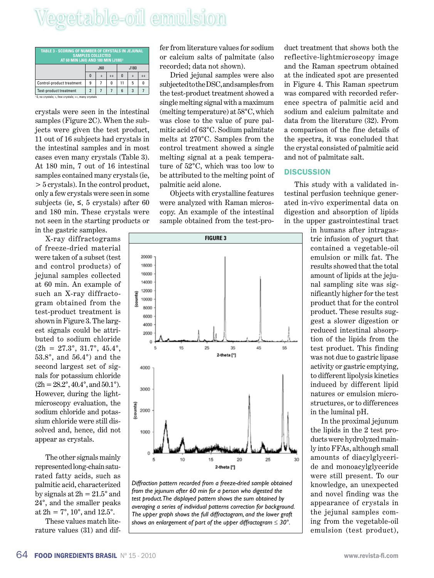| <b>TABLE 3 - SCORING OF NUMBER OF CRYSTALS IN JEJUNAL</b><br><b>SAMPLES COLLECTED</b><br>AT 60 MIN (J60) AND 180 MIN (J180) <sup>1</sup> |                |           |              |                  |   |  |  |  |  |
|------------------------------------------------------------------------------------------------------------------------------------------|----------------|-----------|--------------|------------------|---|--|--|--|--|
|                                                                                                                                          |                | J60       |              | J180             |   |  |  |  |  |
|                                                                                                                                          | $\mathbf{0}$   | $\ddot{}$ | $++$         | $\boldsymbol{0}$ |   |  |  |  |  |
| Control-product treatment                                                                                                                | 9              |           | $\mathbf{0}$ | 11               | 5 |  |  |  |  |
| Test-product treatment                                                                                                                   | $\overline{2}$ |           | 7            | 6                | 3 |  |  |  |  |
| <sup>1</sup> 0, no crystals; +, few crystals; ++, many crystals                                                                          |                |           |              |                  |   |  |  |  |  |

crystals were seen in the intestinal samples (Figure 2C). When the subjects were given the test product, 11 out of 16 subjects had crystals in the intestinal samples and in most cases even many crystals (Table 3). At 180 min, 7 out of 16 intestinal samples contained many crystals (ie, > 5 crystals). In the control product, only a few crystals were seen in some subjects (ie,  $\leq$ , 5 crystals) after 60 and 180 min. These crystals were not seen in the starting products or in the gastric samples.

X-ray diffractograms of freeze-dried material were taken of a subset (test and control products) of jejunal samples collected at 60 min. An example of such an X-ray diffractogram obtained from the test-product treatment is shown in Figure 3. The largest signals could be attributed to sodium chloride  $(2h = 27.3^{\circ}, 31.7^{\circ}, 45.4^{\circ},$ 53.8°, and 56.4°) and the second largest set of signals for potassium chloride  $(2h = 28.2^{\circ}, 40.4^{\circ}, \text{and } 50.1^{\circ}).$ However, during the lightmicroscopy evaluation, the sodium chloride and potassium chloride were still dissolved and, hence, did not appear as crystals.

The other signals mainly represented long-chain saturated fatty acids, such as palmitic acid, characterized by signals at  $2h = 21.5^{\circ}$  and 24°, and the smaller peaks at  $2h = 7^{\circ}, 10^{\circ},$  and  $12.5^{\circ}$ .

These values match literature values (31) and dif-

fer from literature values for sodium or calcium salts of palmitate (also recorded; data not shown).

Dried jejunal samples were also subjected to the DSC, and samples from the test-product treatment showed a single melting signal with a maximum (melting temperature) at 58°C, which was close to the value of pure palmitic acid of 63°C. Sodium palmitate melts at 270°C. Samples from the control treatment showed a single melting signal at a peak temperature of 52°C, which was too low to be attributed to the melting point of palmitic acid alone.

Objects with crystalline features were analyzed with Raman microscopy. An example of the intestinal sample obtained from the test-pro-



*Diffraction pattern recorded from a freeze-dried sample obtained from the jejunum after 60 min for a person who digested the test product. The displayed pattern shows the sum obtained by averaging a series of individual patterns correction for background. The upper graph shows the full diffractogram, and the lower graft shows an enlargement of part of the upper diffractogram* ≤ *30°.*

duct treatment that shows both the reflective-lightmicroscopy image and the Raman spectrum obtained at the indicated spot are presented in Figure 4. This Raman spectrum was compared with recorded reference spectra of palmitic acid and sodium and calcium palmitate and data from the literature (32). From a comparison of the fine details of the spectra, it was concluded that the crystal consisted of palmitic acid and not of palmitate salt.

#### **Discussion**

This study with a validated intestinal perfusion technique generated in-vivo experimental data on digestion and absorption of lipids in the upper gastrointestinal tract

> in humans after intragastric infusion of yogurt that contained a vegetable-oil emulsion or milk fat. The results showed that the total amount of lipids at the jejunal sampling site was significantly higher for the test product that for the control product. These results suggest a slower digestion or reduced intestinal absorption of the lipids from the test product. This finding was not due to gastric lipase activity or gastric emptying, to different lipolysis kinetics induced by different lipid natures or emulsion microstructures, or to differences in the luminal pH.

> In the proximal jejunum the lipids in the 2 test products were hydrolyzed mainly into FFAs, although small amounts of diacylglyceride and monoacylglyceride were still present. To our knowledge, an unexpected and novel finding was the appearance of crystals in the jejunal samples coming from the vegetable-oil emulsion (test product),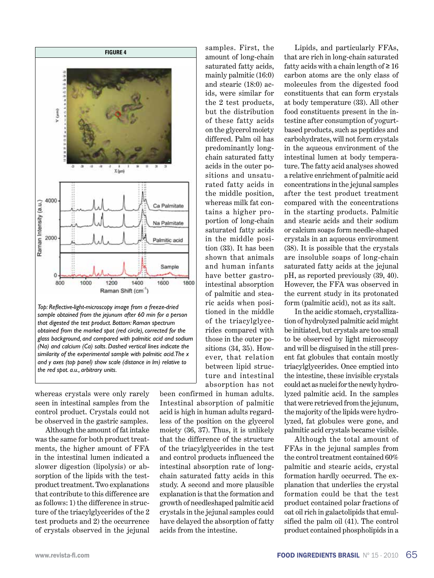

whereas crystals were only rarely seen in intestinal samples from the control product. Crystals could not be observed in the gastric samples.

*the red spot. a.u., arbitrary units.*

Although the amount of fat intake was the same for both product treatments, the higher amount of FFA in the intestinal lumen indicated a slower digestion (lipolysis) or absorption of the lipids with the testproduct treatment. Two explanations that contribute to this difference are as follows: 1) the difference in structure of the triacylglycerides of the 2 test products and 2) the occurrence of crystals observed in the jejunal

mainly palmitic (16:0) and stearic (18:0) acids, were similar for the 2 test products, but the distribution of these fatty acids on the glycerol moiety differed. Palm oil has predominantly longchain saturated fatty acids in the outer positions and unsaturated fatty acids in the middle position, whereas milk fat contains a higher proportion of long-chain saturated fatty acids in the middle position (33). It has been shown that animals and human infants have better gastrointestinal absorption of palmitic and stearic acids when positioned in the middle of the triacylglycerides compared with those in the outer positions (34, 35). However, that relation between lipid structure and intestinal absorption has not been confirmed in human adults. Intestinal absorption of palmitic acid is high in human adults regardless of the position on the glycerol moiety (36, 37). Thus, it is unlikely that the difference of the structure of the triacylglycerides in the test and control products influenced the intestinal absorption rate of longchain saturated fatty acids in this study. A second and more plausible

explanation is that the formation and growth of needleshaped palmitic acid crystals in the jejunal samples could have delayed the absorption of fatty

acids from the intestine.

samples. First, the amount of long-chain saturated fatty acids,

Lipids, and particularly FFAs, that are rich in long-chain saturated fatty acids with a chain length of  $\geq 16$ carbon atoms are the only class of molecules from the digested food constituents that can form crystals at body temperature (33). All other food constituents present in the intestine after consumption of yogurtbased products, such as peptides and carbohydrates, will not form crystals in the aqueous environment of the intestinal lumen at body temperature. The fatty acid analyses showed a relative enrichment of palmitic acid concentrations in the jejunal samples after the test product treatment compared with the concentrations in the starting products. Palmitic and stearic acids and their sodium or calcium soaps form needle-shaped crystals in an aqueous environment (38). It is possible that the crystals are insoluble soaps of long-chain saturated fatty acids at the jejunal pH, as reported previously (39, 40). However, the FFA was observed in the current study in its protonated form (palmitic acid), not as its salt.

In the acidic stomach, crystallization of hydrolyzed palmitic acid might be initiated, but crystals are too small to be observed by light microscopy and will be disguised in the still present fat globules that contain mostly triacylglycerides. Once emptied into the intestine, these invisible crystals could act as nuclei for the newly hydrolyzed palmitic acid. In the samples that were retrieved from the jejunum, the majority of the lipids were hydrolyzed, fat globules were gone, and palmitic acid crystals became visible.

Although the total amount of FFAs in the jejunal samples from the control treatment contained 60% palmitic and stearic acids, crystal formation hardly occurred. The explanation that underlies the crystal formation could be that the test product contained polar fractions of oat oil rich in galactolipids that emulsified the palm oil (41). The control product contained phospholipids in a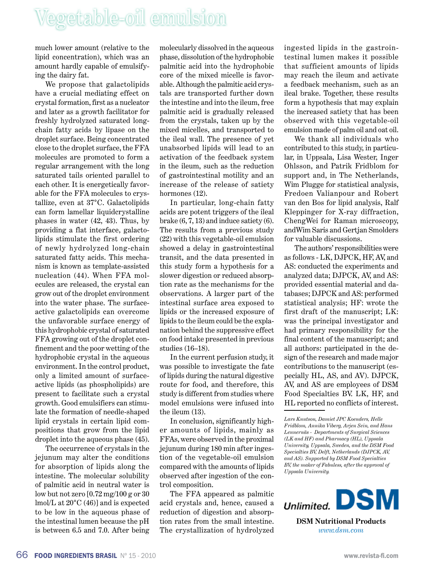much lower amount (relative to the lipid concentration), which was an amount hardly capable of emulsifying the dairy fat.

We propose that galactolipids have a crucial mediating effect on crystal formation, first as a nucleator and later as a growth facilitator for freshly hydrolyzed saturated longchain fatty acids by lipase on the droplet surface. Being concentrated close to the droplet surface, the FFA molecules are promoted to form a regular arrangement with the long saturated tails oriented parallel to each other. It is energetically favorable for the FFA molecules to crystallize, even at 37°C. Galactolipids can form lamellar liquidcrystalline phases in water (42, 43). Thus, by providing a flat interface, galactolipids stimulate the first ordering of newly hydrolyzed long-chain saturated fatty acids. This mechanism is known as template-assisted nucleation (44). When FFA molecules are released, the crystal can grow out of the droplet environment into the water phase. The surfaceactive galactolipids can overcome the unfavorable surface energy of this hydrophobic crystal of saturated FFA growing out of the droplet confinement and the poor wetting of the hydrophobic crystal in the aqueous environment. In the control product, only a limited amount of surfaceactive lipids (as phospholipids) are present to facilitate such a crystal growth. Good emulsifiers can stimulate the formation of needle-shaped lipid crystals in certain lipid compositions that grow from the lipid droplet into the aqueous phase (45).

The occurrence of crystals in the jejunum may alter the conditions for absorption of lipids along the intestine. The molecular solubility of palmitic acid in neutral water is low but not zero [0.72 mg/100 g or 30 lmol/L at 20°C (46)] and is expected to be low in the aqueous phase of the intestinal lumen because the pH is between 6.5 and 7.0. After being

molecularly dissolved in the aqueous phase, dissolution of the hydrophobic palmitic acid into the hydrophobic core of the mixed micelle is favorable. Although the palmitic acid crystals are transported further down the intestine and into the ileum, free palmitic acid is gradually released from the crystals, taken up by the mixed micelles, and transported to the ileal wall. The presence of yet unabsorbed lipids will lead to an activation of the feedback system in the ileum, such as the reduction of gastrointestinal motility and an increase of the release of satiety hormones (12).

In particular, long-chain fatty acids are potent triggers of the ileal brake  $(6, 7, 13)$  and induce satiety  $(6)$ . The results from a previous study (22) with this vegetable-oil emulsion showed a delay in gastrointestinal transit, and the data presented in this study form a hypothesis for a slower digestion or reduced absorption rate as the mechanisms for the observations. A larger part of the intestinal surface area exposed to lipids or the increased exposure of lipids to the ileum could be the explanation behind the suppressive effect on food intake presented in previous studies (16–18).

In the current perfusion study, it was possible to investigate the fate of lipids during the natural digestive route for food, and therefore, this study is different from studies where model emulsions were infused into the ileum (13).

In conclusion, significantly higher amounts of lipids, mainly as FFAs, were observed in the proximal jejunum during 180 min after ingestion of the vegetable-oil emulsion compared with the amounts of lipids observed after ingestion of the control composition.

The FFA appeared as palmitic acid crystals and, hence, caused a reduction of digestion and absorption rates from the small intestine. The crystallization of hydrolyzed

ingested lipids in the gastrointestinal lumen makes it possible that sufficient amounts of lipids may reach the ileum and activate a feedback mechanism, such as an ileal brake. Together, these results form a hypothesis that may explain the increased satiety that has been observed with this vegetable-oil emulsion made of palm oil and oat oil.

We thank all individuals who contributed to this study, in particular, in Uppsala, Lisa Wester, Inger Ohlsson, and Patrik Fridblom for support and, in The Netherlands, Wim Plugge for statistical analysis, Fredoen Valianpour and Robert van den Bos for lipid analysis, Ralf Kleppinger for X-ray diffraction, ChengWei for Raman microscopy, andWim Saris and Gertjan Smolders for valuable discussions.

The authors' responsibilities were as follows - LK, DJPCK, HF, AV, and AS: conducted the experiments and analyzed data; DJPCK, AV, and AS: provided essential material and databases; DJPCK and AS: performed statistical analysis; HF: wrote the first draft of the manuscript; LK: was the principal investigator and had primary responsibility for the final content of the manuscript; and all authors: participated in the design of the research and made major contributions to the manuscript (especially HL, AS, and AV). DJPCK, AV, and AS are employees of DSM Food Specialties BV. LK, HF, and HL reported no conflicts of interest.

*Lars Knutson, Damiet JPC Koenders, Helle Fridblom, Annika Viberg, Arjen Sein, and Hans Lennernäs - Departments of Surgical Sciences (LK and HF) and Pharmacy (HL), Uppsala University, Uppsala, Sweden, and the DSM Food Specialties BV, Delft, Netherlands (DJPCK, AV, and AS). Supported by DSM Food Specialties BV, the maker of Fabuless, after the approval of Uppsala University.*



*www.dsm.com*